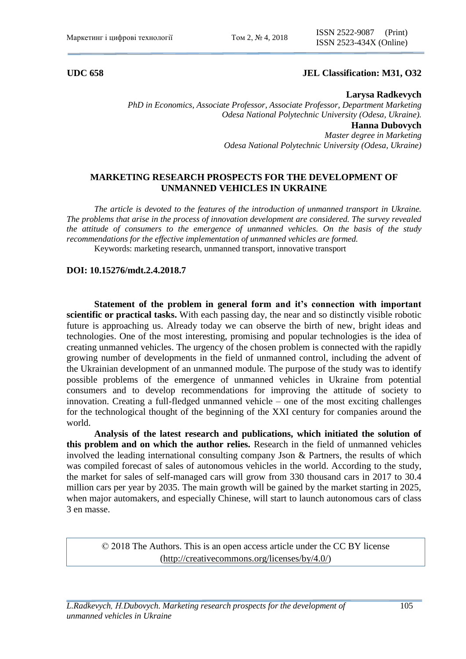## **UDC 658 JEL Classification: M31, O32**

## **Larysa Radkevych**

*PhD in Economics, Associate Professor, Associate Professor, Department Marketing Odesa National Polytechnic University (Odesa, Ukraine).* **Hanna Dubovych** *Master degree in Marketing Odesa National Polytechnic University (Odesa, Ukraine)*

# **MARKETING RESEARCH PROSPECTS FOR THE DEVELOPMENT OF UNMANNED VEHICLES IN UKRAINE**

*The article is devoted to the features of the introduction of unmanned transport in Ukraine. The problems that arise in the process of innovation development are considered. The survey revealed the attitude of consumers to the emergence of unmanned vehicles. On the basis of the study recommendations for the effective implementation of unmanned vehicles are formed.* 

Keywords: marketing research, unmanned transport, innovative transport

## **DOI: 10.15276/mdt.2.4.2018.7**

**Statement of the problem in general form and it's connection with important scientific or practical tasks.** With each passing day, the near and so distinctly visible robotic future is approaching us. Already today we can observe the birth of new, bright ideas and technologies. One of the most interesting, promising and popular technologies is the idea of creating unmanned vehicles. The urgency of the chosen problem is connected with the rapidly growing number of developments in the field of unmanned control, including the advent of the Ukrainian development of an unmanned module. The purpose of the study was to identify possible problems of the emergence of unmanned vehicles in Ukraine from potential consumers and to develop recommendations for improving the attitude of society to innovation. Creating a full-fledged unmanned vehicle – one of the most exciting challenges for the technological thought of the beginning of the XXI century for companies around the world.

**Analysis of the latest research and publications, which initiated the solution of this problem and on which the author relies.** Research in the field of unmanned vehicles involved the leading international consulting company Json & Partners, the results of which was compiled forecast of sales of autonomous vehicles in the world. According to the study, the market for sales of self-managed cars will grow from 330 thousand cars in 2017 to 30.4 million cars per year by 2035. The main growth will be gained by the market starting in 2025, when major automakers, and especially Chinese, will start to launch autonomous cars of class 3 en masse.

© 2018 The Authors. This is an open access article under the CC BY license [\(http://creativecommons.org/licenses/by/4.0/\)](http://creativecommons.org/licenses/by/4.0/)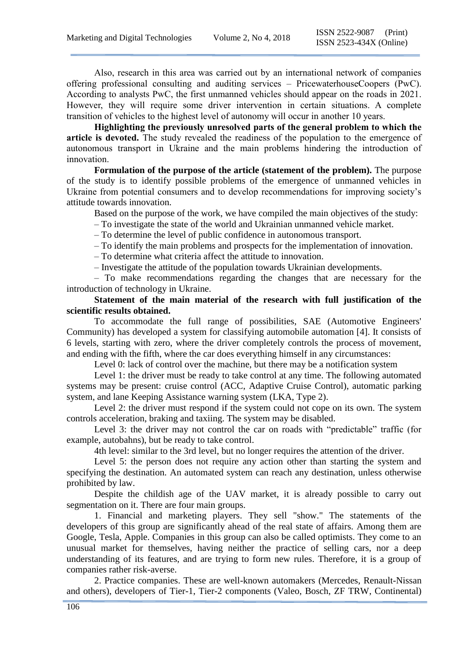Also, research in this area was carried out by an international network of companies offering professional consulting and auditing services – PricewaterhouseCoopers (PwC). According to analysts PwC, the first unmanned vehicles should appear on the roads in 2021. However, they will require some driver intervention in certain situations. A complete transition of vehicles to the highest level of autonomy will occur in another 10 years.

**Highlighting the previously unresolved parts of the general problem to which the article is devoted.** The study revealed the readiness of the population to the emergence of autonomous transport in Ukraine and the main problems hindering the introduction of innovation.

**Formulation of the purpose of the article (statement of the problem).** The purpose of the study is to identify possible problems of the emergence of unmanned vehicles in Ukraine from potential consumers and to develop recommendations for improving society's attitude towards innovation.

Based on the purpose of the work, we have compiled the main objectives of the study:

– To investigate the state of the world and Ukrainian unmanned vehicle market.

– To determine the level of public confidence in autonomous transport.

– To identify the main problems and prospects for the implementation of innovation.

– To determine what criteria affect the attitude to innovation.

– Investigate the attitude of the population towards Ukrainian developments.

– To make recommendations regarding the changes that are necessary for the introduction of technology in Ukraine.

**Statement of the main material of the research with full justification of the scientific results obtained.**

To accommodate the full range of possibilities, SAE (Automotive Engineers' Community) has developed a system for classifying automobile automation [4]. It consists of 6 levels, starting with zero, where the driver completely controls the process of movement, and ending with the fifth, where the car does everything himself in any circumstances:

Level 0: lack of control over the machine, but there may be a notification system

Level 1: the driver must be ready to take control at any time. The following automated systems may be present: cruise control (ACC, Adaptive Cruise Control), automatic parking system, and lane Keeping Assistance warning system (LKA, Type 2).

Level 2: the driver must respond if the system could not cope on its own. The system controls acceleration, braking and taxiing. The system may be disabled.

Level 3: the driver may not control the car on roads with "predictable" traffic (for example, autobahns), but be ready to take control.

4th level: similar to the 3rd level, but no longer requires the attention of the driver.

Level 5: the person does not require any action other than starting the system and specifying the destination. An automated system can reach any destination, unless otherwise prohibited by law.

Despite the childish age of the UAV market, it is already possible to carry out segmentation on it. There are four main groups.

1. Financial and marketing players. They sell "show." The statements of the developers of this group are significantly ahead of the real state of affairs. Among them are Google, Tesla, Apple. Companies in this group can also be called optimists. They come to an unusual market for themselves, having neither the practice of selling cars, nor a deep understanding of its features, and are trying to form new rules. Therefore, it is a group of companies rather risk-averse.

2. Practice companies. These are well-known automakers (Mercedes, Renault-Nissan and others), developers of Tier-1, Tier-2 components (Valeo, Bosch, ZF TRW, Continental)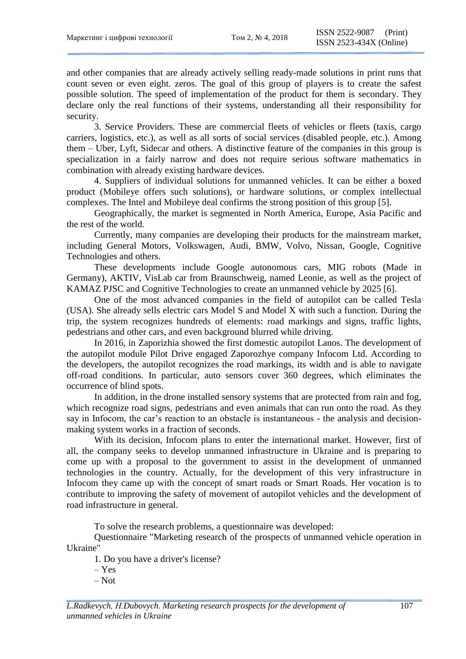and other companies that are already actively selling ready-made solutions in print runs that count seven or even eight. zeros. The goal of this group of players is to create the safest possible solution. The speed of implementation of the product for them is secondary. They declare only the real functions of their systems, understanding all their responsibility for security.

3. Service Providers. These are commercial fleets of vehicles or fleets (taxis, cargo carriers, logistics, etc.), as well as all sorts of social services (disabled people, etc.). Among them – Uber, Lyft, Sidecar and others. A distinctive feature of the companies in this group is specialization in a fairly narrow and does not require serious software mathematics in combination with already existing hardware devices.

4. Suppliers of individual solutions for unmanned vehicles. It can be either a boxed product (Mobileye offers such solutions), or hardware solutions, or complex intellectual complexes. The Intel and Mobileye deal confirms the strong position of this group [5].

Geographically, the market is segmented in North America, Europe, Asia Pacific and the rest of the world.

Currently, many companies are developing their products for the mainstream market, including General Motors, Volkswagen, Audi, BMW, Volvo, Nissan, Google, Cognitive Technologies and others.

These developments include Google autonomous cars, MIG robots (Made in Germany), AKTIV, VisLab car from Braunschweig, named Leonie, as well as the project of KAMAZ PJSC and Cognitive Technologies to create an unmanned vehicle by 2025 [6].

One of the most advanced companies in the field of autopilot can be called Tesla (USA). She already sells electric cars Model S and Model X with such a function. During the trip, the system recognizes hundreds of elements: road markings and signs, traffic lights, pedestrians and other cars, and even background blurred while driving.

In 2016, in Zaporizhia showed the first domestic autopilot Lanos. The development of the autopilot module Pilot Drive engaged Zaporozhye company Infocom Ltd. According to the developers, the autopilot recognizes the road markings, its width and is able to navigate off-road conditions. In particular, auto sensors cover 360 degrees, which eliminates the occurrence of blind spots.

In addition, in the drone installed sensory systems that are protected from rain and fog, which recognize road signs, pedestrians and even animals that can run onto the road. As they say in Infocom, the car's reaction to an obstacle is instantaneous - the analysis and decisionmaking system works in a fraction of seconds.

With its decision, Infocom plans to enter the international market. However, first of all, the company seeks to develop unmanned infrastructure in Ukraine and is preparing to come up with a proposal to the government to assist in the development of unmanned technologies in the country. Actually, for the development of this very infrastructure in Infocom they came up with the concept of smart roads or Smart Roads. Her vocation is to contribute to improving the safety of movement of autopilot vehicles and the development of road infrastructure in general.

To solve the research problems, a questionnaire was developed:

Questionnaire "Marketing research of the prospects of unmanned vehicle operation in Ukraine"

1. Do you have a driver's license?

– Yes

– Not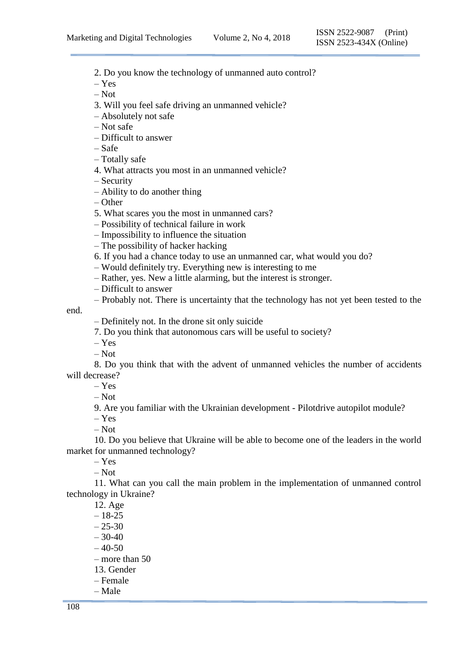2. Do you know the technology of unmanned auto control?

– Yes

– Not

3. Will you feel safe driving an unmanned vehicle?

– Absolutely not safe

– Not safe

– Difficult to answer

– Safe

– Totally safe

4. What attracts you most in an unmanned vehicle?

– Security

– Ability to do another thing

– Other

5. What scares you the most in unmanned cars?

– Possibility of technical failure in work

– Impossibility to influence the situation

– The possibility of hacker hacking

6. If you had a chance today to use an unmanned car, what would you do?

– Would definitely try. Everything new is interesting to me

– Rather, yes. New a little alarming, but the interest is stronger.

– Difficult to answer

– Probably not. There is uncertainty that the technology has not yet been tested to the

end.

– Definitely not. In the drone sit only suicide

7. Do you think that autonomous cars will be useful to society?

– Yes

– Not

8. Do you think that with the advent of unmanned vehicles the number of accidents will decrease?

– Yes

– Not

9. Are you familiar with the Ukrainian development - Pilotdrive autopilot module?

– Yes

– Not

10. Do you believe that Ukraine will be able to become one of the leaders in the world market for unmanned technology?

– Yes

– Not

11. What can you call the main problem in the implementation of unmanned control technology in Ukraine?

12. Age  $-18-25$  $-25-30$  $-30-40$  $-40-50$ – more than 50 13. Gender – Female – Male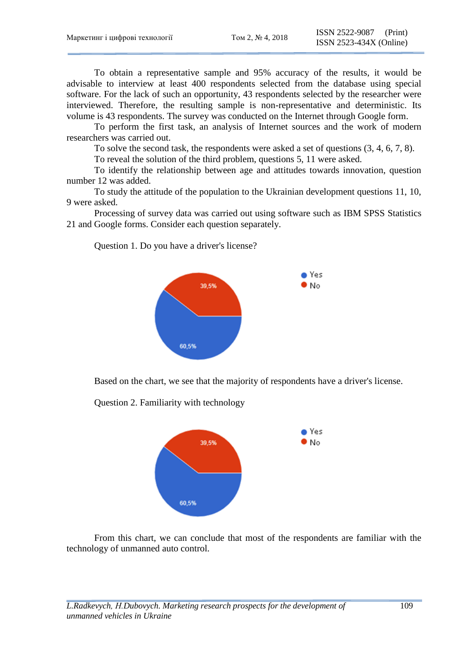To obtain a representative sample and 95% accuracy of the results, it would be advisable to interview at least 400 respondents selected from the database using special software. For the lack of such an opportunity, 43 respondents selected by the researcher were interviewed. Therefore, the resulting sample is non-representative and deterministic. Its volume is 43 respondents. The survey was conducted on the Internet through Google form.

To perform the first task, an analysis of Internet sources and the work of modern researchers was carried out.

To solve the second task, the respondents were asked a set of questions (3, 4, 6, 7, 8).

To reveal the solution of the third problem, questions 5, 11 were asked.

To identify the relationship between age and attitudes towards innovation, question number 12 was added.

To study the attitude of the population to the Ukrainian development questions 11, 10, 9 were asked.

Processing of survey data was carried out using software such as IBM SPSS Statistics 21 and Google forms. Consider each question separately.

Question 1. Do you have a driver's license?



Based on the chart, we see that the majority of respondents have a driver's license.

Question 2. Familiarity with technology



From this chart, we can conclude that most of the respondents are familiar with the technology of unmanned auto control.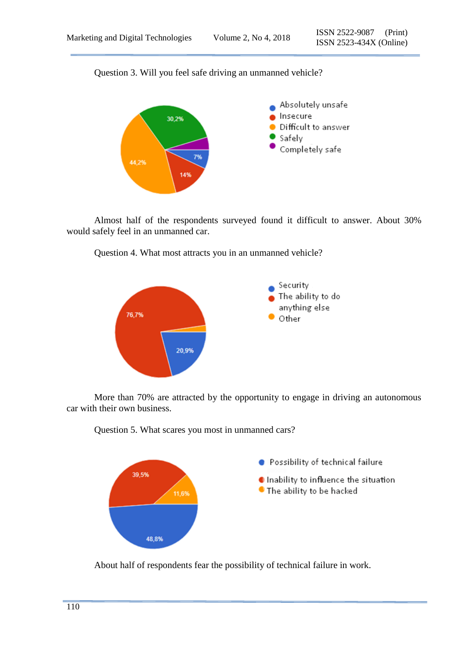Question 3. Will you feel safe driving an unmanned vehicle?



Almost half of the respondents surveyed found it difficult to answer. About 30% would safely feel in an unmanned car.



Question 4. What most attracts you in an unmanned vehicle?

More than 70% are attracted by the opportunity to engage in driving an autonomous car with their own business.



Question 5. What scares you most in unmanned cars?

About half of respondents fear the possibility of technical failure in work.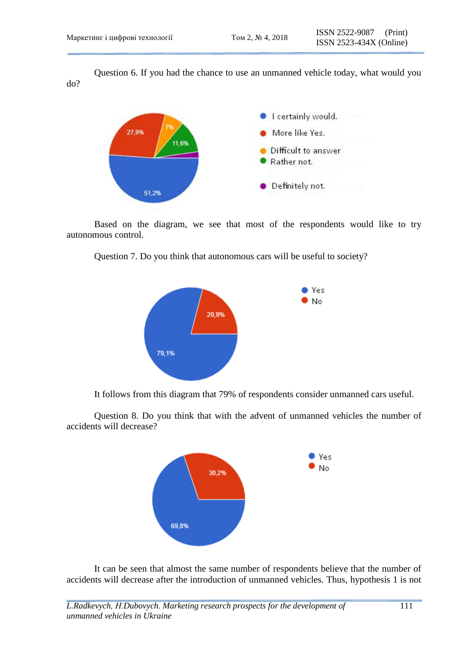Question 6. If you had the chance to use an unmanned vehicle today, what would you do?



Based on the diagram, we see that most of the respondents would like to try autonomous control.

Question 7. Do you think that autonomous cars will be useful to society?



It follows from this diagram that 79% of respondents consider unmanned cars useful.

Question 8. Do you think that with the advent of unmanned vehicles the number of accidents will decrease?



It can be seen that almost the same number of respondents believe that the number of accidents will decrease after the introduction of unmanned vehicles. Thus, hypothesis 1 is not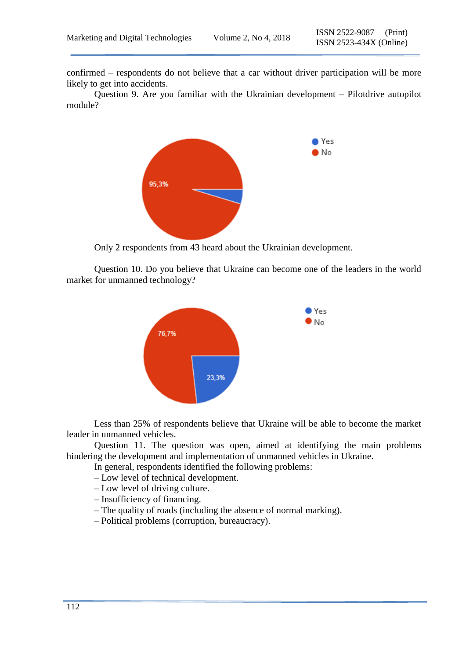confirmed – respondents do not believe that a car without driver participation will be more likely to get into accidents.

Question 9. Are you familiar with the Ukrainian development – Pilotdrive autopilot module?



Only 2 respondents from 43 heard about the Ukrainian development.

Question 10. Do you believe that Ukraine can become one of the leaders in the world market for unmanned technology?



Less than 25% of respondents believe that Ukraine will be able to become the market leader in unmanned vehicles.

Question 11. The question was open, aimed at identifying the main problems hindering the development and implementation of unmanned vehicles in Ukraine.

In general, respondents identified the following problems:

– Low level of technical development.

- Low level of driving culture.
- Insufficiency of financing.
- The quality of roads (including the absence of normal marking).
- Political problems (corruption, bureaucracy).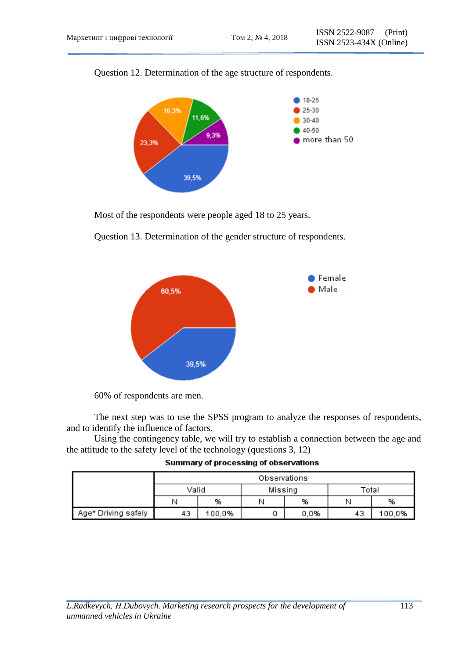

Question 12. Determination of the age structure of respondents.

Most of the respondents were people aged 18 to 25 years.



Question 13. Determination of the gender structure of respondents.

60% of respondents are men.

The next step was to use the SPSS program to analyze the responses of respondents, and to identify the influence of factors.

Using the contingency table, we will try to establish a connection between the age and the attitude to the safety level of the technology (questions 3, 12)

|                     | Observations |        |         |      |       |        |
|---------------------|--------------|--------|---------|------|-------|--------|
|                     | Valid        |        | Missing |      | Total |        |
|                     | Ν            | %      |         | %    | Ν     | %      |
| Age* Driving safely | 43           | 100,0% |         | 0.0% | 43    | 100.0% |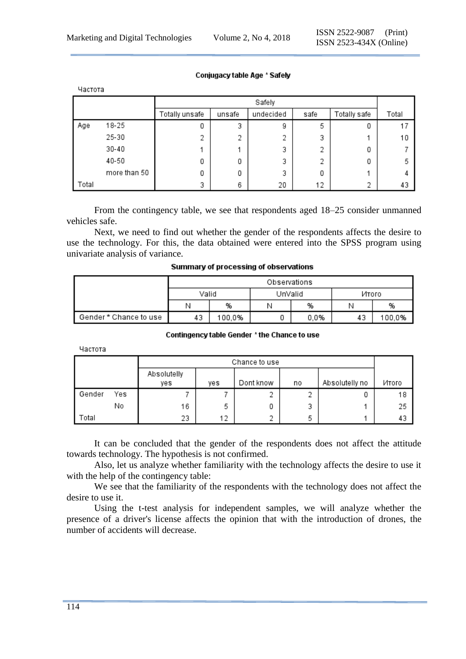| Частота |              |                |        |           |      |              |       |  |  |
|---------|--------------|----------------|--------|-----------|------|--------------|-------|--|--|
|         |              |                | Safely |           |      |              |       |  |  |
|         |              | Totally unsafe | unsafe | undecided | safe | Totally safe | Total |  |  |
| Age     | 18-25        | 0              | 3      | 9         | 5    |              | 17    |  |  |
|         | 25-30        | 2              | 2      | 2         | 3    |              | 10    |  |  |
|         | $30 - 40$    |                |        | 3         | 2    | 0            |       |  |  |
|         | 40-50        | 0              | 0      | 3         | э    |              | 5     |  |  |
|         | more than 50 | 0              | 0      | 3         | 0    |              |       |  |  |
| Total   |              | 3              | 6      | 20        | 12   |              | 43    |  |  |

### Conjugacy table Age \* Safely

From the contingency table, we see that respondents aged 18–25 consider unmanned vehicles safe.

Next, we need to find out whether the gender of the respondents affects the desire to use the technology. For this, the data obtained were entered into the SPSS program using univariate analysis of variance.

|                        | Observations |        |         |      |          |        |
|------------------------|--------------|--------|---------|------|----------|--------|
|                        | Valid        |        | UnValid |      | Итого    |        |
|                        |              | %      |         | %    |          | %      |
| Gender * Chance to use | 43           | 100,0% |         | 0.0% | רי<br>43 | 100,0% |

#### Summary of processing of observations

#### Contingency table Gender \* the Chance to use

Частота

|        |     | Chance to use      |     |           |    |                |       |
|--------|-----|--------------------|-----|-----------|----|----------------|-------|
|        |     | Absolutelly<br>ves | yes | Dont know | no | Absolutelly no | Итого |
| Gender | Yes |                    |     |           | 2  | 0              | 18    |
|        | No  | 16                 | 5   | 0         | 3  |                | 25    |
| Total  |     | 23                 | 12  | o         | 5  |                | 43    |

It can be concluded that the gender of the respondents does not affect the attitude towards technology. The hypothesis is not confirmed.

Also, let us analyze whether familiarity with the technology affects the desire to use it with the help of the contingency table:

We see that the familiarity of the respondents with the technology does not affect the desire to use it.

Using the t-test analysis for independent samples, we will analyze whether the presence of a driver's license affects the opinion that with the introduction of drones, the number of accidents will decrease.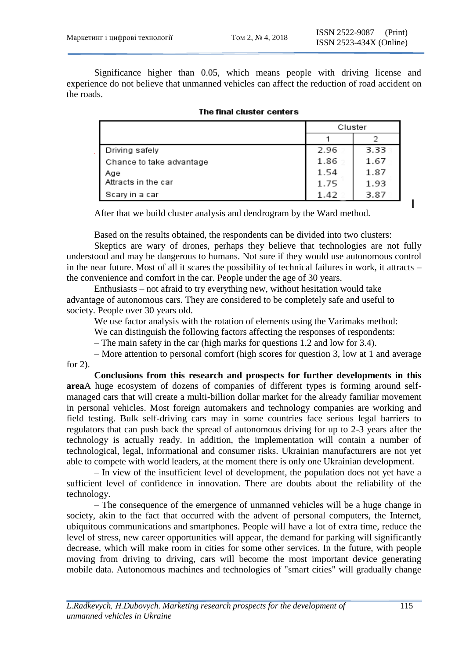ı

Significance higher than 0.05, which means people with driving license and experience do not believe that unmanned vehicles can affect the reduction of road accident on the roads.

|                          | Cluster |      |
|--------------------------|---------|------|
|                          |         |      |
| Driving safely           | 2.96    | 3.33 |
| Chance to take advantage | 1.86    | 1.67 |
| Age                      | 1.54    | 1.87 |
| Attracts in the car      | 1.75    | 1.93 |
| Scary in a car           | 1.42    | 3.87 |

|  | The final cluster centers |
|--|---------------------------|
|  |                           |

After that we build cluster analysis and dendrogram by the Ward method.

Based on the results obtained, the respondents can be divided into two clusters:

Skeptics are wary of drones, perhaps they believe that technologies are not fully understood and may be dangerous to humans. Not sure if they would use autonomous control in the near future. Most of all it scares the possibility of technical failures in work, it attracts – the convenience and comfort in the car. People under the age of 30 years.

Enthusiasts – not afraid to try everything new, without hesitation would take advantage of autonomous cars. They are considered to be completely safe and useful to society. People over 30 years old.

We use factor analysis with the rotation of elements using the Varimaks method:

We can distinguish the following factors affecting the responses of respondents:

– The main safety in the car (high marks for questions 1.2 and low for 3.4).

– More attention to personal comfort (high scores for question 3, low at 1 and average for 2).

**Conclusions from this research and prospects for further developments in this area**A huge ecosystem of dozens of companies of different types is forming around selfmanaged cars that will create a multi-billion dollar market for the already familiar movement in personal vehicles. Most foreign automakers and technology companies are working and field testing. Bulk self-driving cars may in some countries face serious legal barriers to regulators that can push back the spread of autonomous driving for up to 2-3 years after the technology is actually ready. In addition, the implementation will contain a number of technological, legal, informational and consumer risks. Ukrainian manufacturers are not yet able to compete with world leaders, at the moment there is only one Ukrainian development.

– In view of the insufficient level of development, the population does not yet have a sufficient level of confidence in innovation. There are doubts about the reliability of the technology.

– The consequence of the emergence of unmanned vehicles will be a huge change in society, akin to the fact that occurred with the advent of personal computers, the Internet, ubiquitous communications and smartphones. People will have a lot of extra time, reduce the level of stress, new career opportunities will appear, the demand for parking will significantly decrease, which will make room in cities for some other services. In the future, with people moving from driving to driving, cars will become the most important device generating mobile data. Autonomous machines and technologies of "smart cities" will gradually change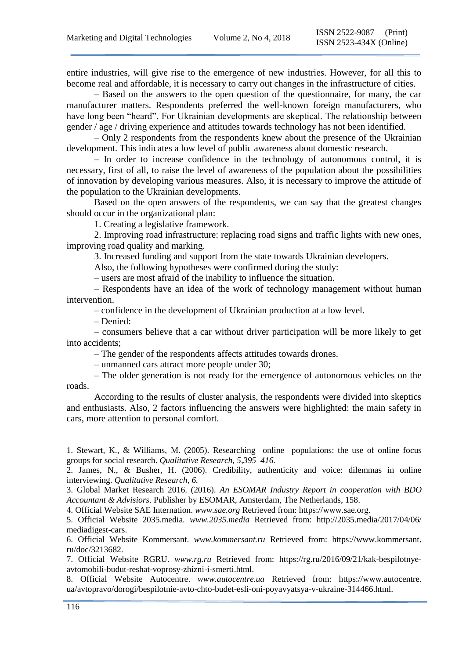entire industries, will give rise to the emergence of new industries. However, for all this to become real and affordable, it is necessary to carry out changes in the infrastructure of cities.

– Based on the answers to the open question of the questionnaire, for many, the car manufacturer matters. Respondents preferred the well-known foreign manufacturers, who have long been "heard". For Ukrainian developments are skeptical. The relationship between gender / age / driving experience and attitudes towards technology has not been identified.

– Only 2 respondents from the respondents knew about the presence of the Ukrainian development. This indicates a low level of public awareness about domestic research.

– In order to increase confidence in the technology of autonomous control, it is necessary, first of all, to raise the level of awareness of the population about the possibilities of innovation by developing various measures. Also, it is necessary to improve the attitude of the population to the Ukrainian developments.

Based on the open answers of the respondents, we can say that the greatest changes should occur in the organizational plan:

1. Creating a legislative framework.

2. Improving road infrastructure: replacing road signs and traffic lights with new ones, improving road quality and marking.

3. Increased funding and support from the state towards Ukrainian developers.

Also, the following hypotheses were confirmed during the study:

– users are most afraid of the inability to influence the situation.

– Respondents have an idea of the work of technology management without human intervention.

– confidence in the development of Ukrainian production at a low level.

– Denied:

– consumers believe that a car without driver participation will be more likely to get into accidents;

– The gender of the respondents affects attitudes towards drones.

– unmanned cars attract more people under 30;

– The older generation is not ready for the emergence of autonomous vehicles on the roads.

According to the results of cluster analysis, the respondents were divided into skeptics and enthusiasts. Also, 2 factors influencing the answers were highlighted: the main safety in cars, more attention to personal comfort.

1. Stewart, K., & Williams, M. (2005). Researching online populations: the use of online focus groups for social research. *Qualitative Research, 5,395–416.*

2. James, N., & Busher, H. (2006). Credibility, authenticity and voice: dilemmas in online interviewing. *Qualitative Research, 6.*

3. Global Market Research 2016. (2016). *An ESOMAR Industry Report in cooperation with BDO Accountant & Advisiors*. Publisher by ESOMAR, Amsterdam, The Netherlands, 158.

4. Official Website SAE Internation. *www.sae.org* Retrieved from: https://www.sae.org.

5. Official Website 2035.media. *www.2035.media* Retrieved from: <http://2035.media/2017/04/06/> mediadigest-cars.

6. Official Website Kommersant. *www.kommersant.ru* Retrieved from: [https://www.kommersant.](https://www.kommersant/) ru/doc/3213682.

7. Official Website RGRU. *www.rg.ru* Retrieved from: https://rg.ru/2016/09/21/kak-bespilotnyeavtomobili-budut-reshat-voprosy-zhizni-i-smerti.html.

8. Official Website Autocentre. *www.autocentre.ua* Retrieved from: [https://www.autocentre.](https://www.autocentre/) ua/avtopravo/dorogi/bespilotnie-avto-chto-budet-esli-oni-poyavyatsya-v-ukraine-314466.html.